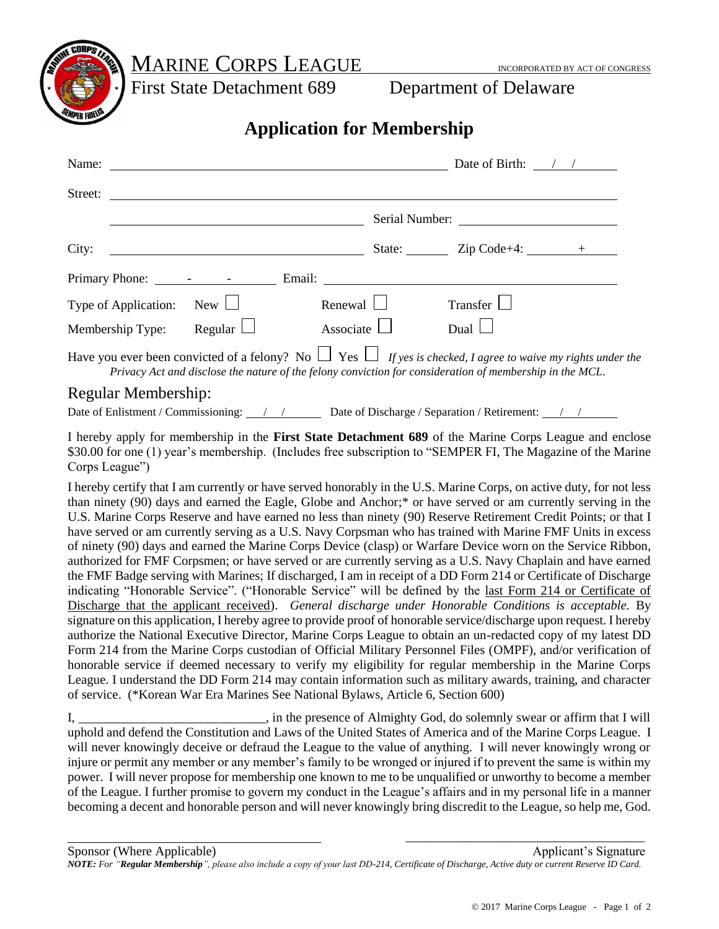MARINE CORPS LEAGUE INCORPORATED BY ACT OF CONGRESS

First State Detachment 689 Department of Delaware

## **Application for Membership**

| Name: $\frac{1}{\sqrt{1-\frac{1}{2}}\sqrt{1-\frac{1}{2}}\sqrt{1-\frac{1}{2}}\sqrt{1-\frac{1}{2}}\sqrt{1-\frac{1}{2}}\sqrt{1-\frac{1}{2}}\sqrt{1-\frac{1}{2}}\sqrt{1-\frac{1}{2}}\sqrt{1-\frac{1}{2}}\sqrt{1-\frac{1}{2}}\sqrt{1-\frac{1}{2}}\sqrt{1-\frac{1}{2}}\sqrt{1-\frac{1}{2}}\sqrt{1-\frac{1}{2}}\sqrt{1-\frac{1}{2}}\sqrt{1-\frac{1}{2}}\sqrt{1-\frac{1}{2}}\sqrt{1-\frac{1}{2}}\sqrt{1-\frac{1}{2}}$ |                                                                                                                      |                                                                                                          | Date of Birth: $\frac{\ }{}$ / /                          |  |
|---------------------------------------------------------------------------------------------------------------------------------------------------------------------------------------------------------------------------------------------------------------------------------------------------------------------------------------------------------------------------------------------------------------|----------------------------------------------------------------------------------------------------------------------|----------------------------------------------------------------------------------------------------------|-----------------------------------------------------------|--|
|                                                                                                                                                                                                                                                                                                                                                                                                               |                                                                                                                      |                                                                                                          |                                                           |  |
|                                                                                                                                                                                                                                                                                                                                                                                                               |                                                                                                                      |                                                                                                          |                                                           |  |
| City:                                                                                                                                                                                                                                                                                                                                                                                                         | <u> 1989 - Johann Barn, mars ann an t-Amhain Aonaich an t-Aonaich an t-Aonaich ann an t-Aonaich ann an t-Aonaich</u> |                                                                                                          | State: $\qquad \qquad \text{Zip Code+4:} \qquad \qquad +$ |  |
|                                                                                                                                                                                                                                                                                                                                                                                                               |                                                                                                                      |                                                                                                          |                                                           |  |
| Type of Application:                                                                                                                                                                                                                                                                                                                                                                                          | $New$ $\Box$                                                                                                         | Renewal $\Box$                                                                                           | Transfer                                                  |  |
| Membership Type:                                                                                                                                                                                                                                                                                                                                                                                              | Regular $\Box$                                                                                                       | Associate                                                                                                | Dual $\Box$                                               |  |
| Have you ever been convicted of a felony? No $\Box$ Yes $\Box$ If yes is checked, I agree to waive my rights under the                                                                                                                                                                                                                                                                                        |                                                                                                                      | Privacy Act and disclose the nature of the felony conviction for consideration of membership in the MCL. |                                                           |  |

## Regular Membership:

Date of Enlistment / Commissioning: / / Date of Discharge / Separation / Retirement: 1

I hereby apply for membership in the **First State Detachment 689** of the Marine Corps League and enclose \$30.00 for one (1) year's membership. (Includes free subscription to "SEMPER FI, The Magazine of the Marine Corps League")

I hereby certify that I am currently or have served honorably in the U.S. Marine Corps, on active duty, for not less than ninety (90) days and earned the Eagle, Globe and Anchor;\* or have served or am currently serving in the U.S. Marine Corps Reserve and have earned no less than ninety (90) Reserve Retirement Credit Points; or that I have served or am currently serving as a U.S. Navy Corpsman who has trained with Marine FMF Units in excess of ninety (90) days and earned the Marine Corps Device (clasp) or Warfare Device worn on the Service Ribbon, authorized for FMF Corpsmen; or have served or are currently serving as a U.S. Navy Chaplain and have earned the FMF Badge serving with Marines; If discharged, I am in receipt of a DD Form 214 or Certificate of Discharge indicating "Honorable Service". ("Honorable Service" will be defined by the last Form 214 or Certificate of Discharge that the applicant received). *General discharge under Honorable Conditions is acceptable.* By signature on this application, I hereby agree to provide proof of honorable service/discharge upon request. I hereby authorize the National Executive Director, Marine Corps League to obtain an un-redacted copy of my latest DD Form 214 from the Marine Corps custodian of Official Military Personnel Files (OMPF), and/or verification of honorable service if deemed necessary to verify my eligibility for regular membership in the Marine Corps League. I understand the DD Form 214 may contain information such as military awards, training, and character of service. (\*Korean War Era Marines See National Bylaws, Article 6, Section 600)

I, \_\_\_\_\_\_\_\_\_\_\_\_\_\_\_\_\_\_\_\_\_\_\_\_\_\_\_\_\_, in the presence of Almighty God, do solemnly swear or affirm that I will uphold and defend the Constitution and Laws of the United States of America and of the Marine Corps League. I will never knowingly deceive or defraud the League to the value of anything. I will never knowingly wrong or injure or permit any member or any member's family to be wronged or injured if to prevent the same is within my power. I will never propose for membership one known to me to be unqualified or unworthy to become a member of the League. I further promise to govern my conduct in the League's affairs and in my personal life in a manner becoming a decent and honorable person and will never knowingly bring discredit to the League, so help me, God.

 $\overline{\phantom{a}}$  , we can consider the constraint of the constraint  $\overline{\phantom{a}}$